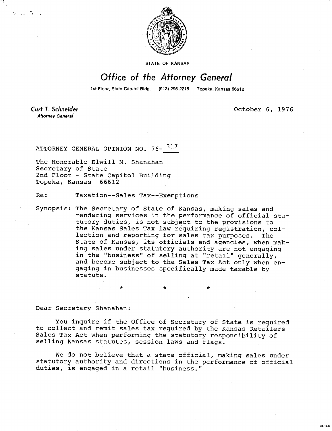

STATE OF KANSAS

## Office of the Attorney General

1st Floor, State Capitol Bldg. (913) 296-2215 Topeka, Kansas 66612

**Curt T. Schneider** Attorney General

tan a TV is

October 6, 1976

MI-1042

ATTORNEY GENERAL OPINION NO. 76- 317

The Honorable Elwill M. Shanahan Secretary of State 2nd Floor - State Capitol Building Topeka, Kansas 66612

Re: Taxation--Sales Tax--Exemptions

Synopsis: The Secretary of State of Kansas, making sales and rendering services in the performance of official statutory duties, is not subject to the provisions to the Kansas Sales Tax law requiring registration, collection and reporting for sales tax purposes. The State of Kansas, its officials and agencies, when making sales under statutory authority are not engaging in the "business" of selling at "retail" generally, and become subject to the Sales Tax Act only when engaging in businesses specifically made taxable by statute.

Dear Secretary Shanahan:

You inquire if the Office of Secretary of State is required to collect and remit sales tax required by the Kansas Retailers Sales Tax Act when performing the statutory responsibility of selling Kansas statutes, session laws and flags.

We do not believe that a state official, making sales under statutory authority and directions in the performance of official duties, is engaged in a retail "business."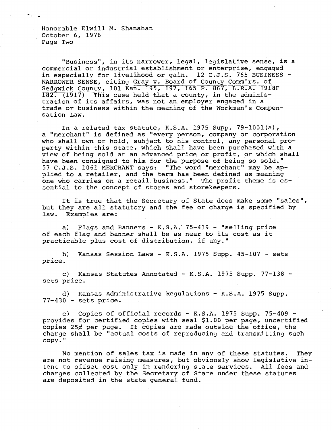Honorable Elwill M. Shanahan October 6, 1976 Page Two

"Business", in its narrower, legal, legislative sense, is a commercial or industrial establishment or enterprise, engaged in especially for livelihood or gain. 12 C.J.S. 765 BUSINESS - NARROWER SENSE, citing Gray v. Board of County Comm'rs. of Sedgwick County, 101 Kan. 195, 197, 165 P. 867, L.R.A. 1918F 182. (1917) This case held that a county, in the administration of its affairs, was not an employer engaged in a trade or business within the meaning of the Workmen's Compensation Law.

In a related tax statute, K.S.A. 1975 Supp. 79-1001(a), a "merchant" is defined as "every person, company or corporation who shall own or hold, subject to his control, any personal property within this state, which shall have been purchased with a view of being sold at an advanced price or profit, or which shall have been consigned to him for the purpose of being so sold." 57 C.J.S. 1061 MERCHANT says: "The word "merchant" may be applied to a retailer, and the term has been defined as meaning one who carries on a retail business." The profit theme is essential to the concept of stores and storekeepers.

It is true that the Secretary of State does make some "sales", but they are all statutory and the fee or charge is specified by law. Examples are:

a) Flags and Banners - K.S.A. 75-419 - "selling price of each flag and banner shall be as near to its cost as it practicable plus cost of distribution, if any."

b) Kansas Session Laws - K.S.A. 1975 Supp. 45-107.- sets price.

c) Kansas Statutes Annotated - K.S.A. 1975 Supp. 77-138 sets price.

d) Kansas Administrative Regulations - K.S.A. 1975 Supp.  $77-430$  - sets price.

e) Copies of official records - K.S.A. 1975 Supp. 75-409 provides for certified copies with seal \$1.00 per page, uncertified copies 25¢ per page. If copies are made outside the office, the charge shall be "actual costs of reproducing and transmitting such copy."

No mention of sales tax is made in any of these statutes. They are not revenue raising measures, but obviously show legislative intent to offset cost only in rendering state services. All fees and charges collected by the Secretary of State under these statutes are deposited in the state general fund.